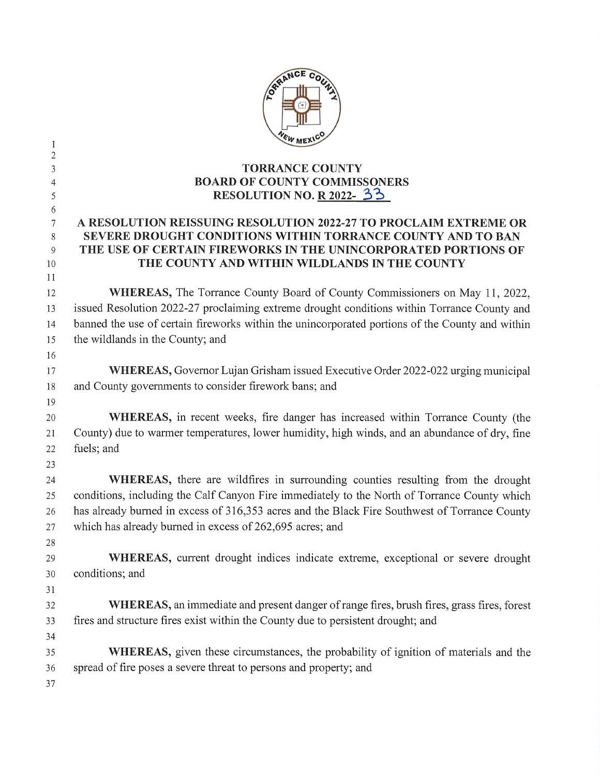|                | ORRANCE                                                                                         |
|----------------|-------------------------------------------------------------------------------------------------|
| 1              | VEW MEXIC                                                                                       |
| $\overline{c}$ |                                                                                                 |
| 3              | <b>TORRANCE COUNTY</b><br><b>BOARD OF COUNTY COMMISSONERS</b>                                   |
| 4<br>5         | RESOLUTION NO. R $2022 - 33$                                                                    |
| 6              |                                                                                                 |
| 7              | A RESOLUTION REISSUING RESOLUTION 2022-27 TO PROCLAIM EXTREME OR                                |
| 8              | SEVERE DROUGHT CONDITIONS WITHIN TORRANCE COUNTY AND TO BAN                                     |
| 9              | THE USE OF CERTAIN FIREWORKS IN THE UNINCORPORATED PORTIONS OF                                  |
| 10<br>11       | THE COUNTY AND WITHIN WILDLANDS IN THE COUNTY                                                   |
| 12             | <b>WHEREAS, The Torrance County Board of County Commissioners on May 11, 2022,</b>              |
| 13             | issued Resolution 2022-27 proclaiming extreme drought conditions within Torrance County and     |
| 14             | banned the use of certain fireworks within the unincorporated portions of the County and within |
| 15             | the wildlands in the County; and                                                                |
| 16             |                                                                                                 |
| 17             | WHEREAS, Governor Lujan Grisham issued Executive Order 2022-022 urging municipal                |
| 18             | and County governments to consider firework bans; and                                           |
| 19             |                                                                                                 |
| 20             | <b>WHEREAS</b> , in recent weeks, fire danger has increased within Torrance County (the         |
| 21             | County) due to warmer temperatures, lower humidity, high winds, and an abundance of dry, fine   |
| 22             | fuels; and                                                                                      |
| 23             |                                                                                                 |
| 24             | WHEREAS, there are wildfires in surrounding counties resulting from the drought                 |
| 25             | conditions, including the Calf Canyon Fire immediately to the North of Torrance County which    |
| 26             | has already burned in excess of 316,353 acres and the Black Fire Southwest of Torrance County   |
| 27             | which has already burned in excess of 262,695 acres; and                                        |
| 28             |                                                                                                 |
| 29             | WHEREAS, current drought indices indicate extreme, exceptional or severe drought                |
| 30             | conditions; and                                                                                 |
| 31             |                                                                                                 |
| 32             | WHEREAS, an immediate and present danger of range fires, brush fires, grass fires, forest       |
| 33             | fires and structure fires exist within the County due to persistent drought; and                |
| 34             |                                                                                                 |
| 35             | <b>WHEREAS</b> , given these circumstances, the probability of ignition of materials and the    |
| 36             | spread of fire poses a severe threat to persons and property; and                               |
| 37             |                                                                                                 |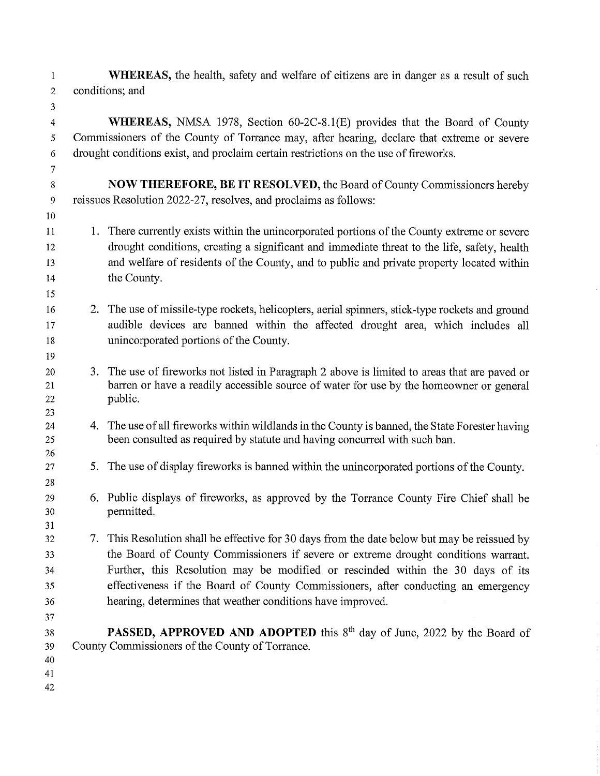$\mathbf{1}$ WHEREAS, the health, safety and welfare of citizens are in danger as a result of such  $\overline{2}$ conditions; and

 $\overline{4}$ WHEREAS, NMSA 1978, Section 60-2C-8.1(E) provides that the Board of County Commissioners of the County of Torrance may, after hearing, declare that extreme or severe 5 drought conditions exist, and proclaim certain restrictions on the use of fireworks. 6

- 8 NOW THEREFORE, BE IT RESOLVED, the Board of County Commissioners hereby 9 reissues Resolution 2022-27, resolves, and proclaims as follows:
- 11 1. There currently exists within the unincorporated portions of the County extreme or severe drought conditions, creating a significant and immediate threat to the life, safety, health 12 and welfare of residents of the County, and to public and private property located within 13 the County. 14
	- 2. The use of missile-type rockets, helicopters, aerial spinners, stick-type rockets and ground audible devices are banned within the affected drought area, which includes all unincorporated portions of the County.
	- 3. The use of fireworks not listed in Paragraph 2 above is limited to areas that are paved or barren or have a readily accessible source of water for use by the homeowner or general public.
		- 4. The use of all fireworks within wildlands in the County is banned, the State Forester having been consulted as required by statute and having concurred with such ban.
		- 5. The use of display fireworks is banned within the unincorporated portions of the County.
		- 6. Public displays of fireworks, as approved by the Torrance County Fire Chief shall be permitted.
- 32 7. This Resolution shall be effective for 30 days from the date below but may be reissued by the Board of County Commissioners if severe or extreme drought conditions warrant. 33 Further, this Resolution may be modified or rescinded within the 30 days of its 34 effectiveness if the Board of County Commissioners, after conducting an emergency 35 hearing, determines that weather conditions have improved. 36
- 37

3

 $\overline{7}$ 

10

**PASSED, APPROVED AND ADOPTED** this  $8<sup>th</sup>$  day of June, 2022 by the Board of 38 County Commissioners of the County of Torrance. 39

- 40
- 41
- 42